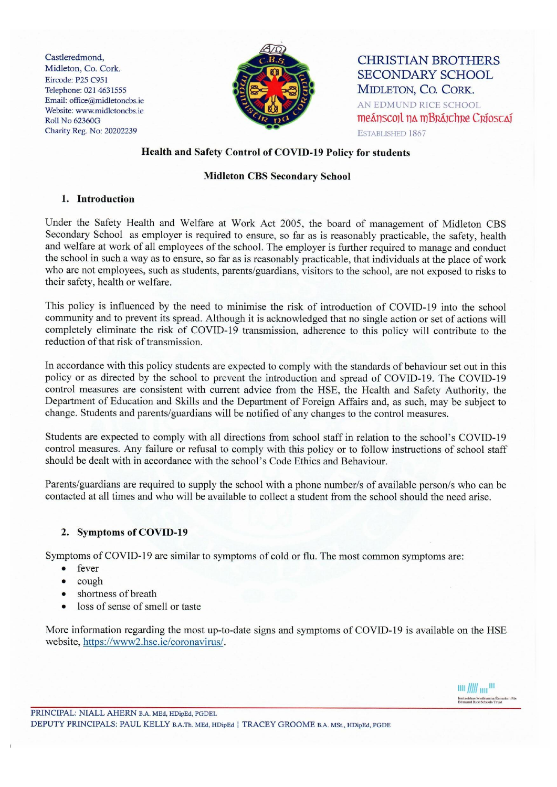Castleredmond, Midleton, Co. Cork. Eircode: P25 C951 Telephone: 021 4631555 Email: office@midletoncbs.ie Website: www.midletoncbs.ie **Roll No 62360G** Charity Reg. No: 20202239



**CHRISTIAN BROTHERS SECONDARY SCHOOL** MIDLETON, CO. CORK. AN EDMUND RICE SCHOOL meánscoil na mBráichre Críoscaí ESTABLISHED 1867

# Health and Safety Control of COVID-19 Policy for students

#### **Midleton CBS Secondary School**

#### 1. Introduction

Under the Safety Health and Welfare at Work Act 2005, the board of management of Midleton CBS Secondary School as employer is required to ensure, so far as is reasonably practicable, the safety, health and welfare at work of all employees of the school. The employer is further required to manage and conduct the school in such a way as to ensure, so far as is reasonably practicable, that individuals at the place of work who are not employees, such as students, parents/guardians, visitors to the school, are not exposed to risks to their safety, health or welfare.

This policy is influenced by the need to minimise the risk of introduction of COVID-19 into the school community and to prevent its spread. Although it is acknowledged that no single action or set of actions will completely eliminate the risk of COVID-19 transmission, adherence to this policy will contribute to the reduction of that risk of transmission.

In accordance with this policy students are expected to comply with the standards of behaviour set out in this policy or as directed by the school to prevent the introduction and spread of COVID-19. The COVID-19 control measures are consistent with current advice from the HSE, the Health and Safety Authority, the Department of Education and Skills and the Department of Foreign Affairs and, as such, may be subject to change. Students and parents/guardians will be notified of any changes to the control measures.

Students are expected to comply with all directions from school staff in relation to the school's COVID-19 control measures. Any failure or refusal to comply with this policy or to follow instructions of school staff should be dealt with in accordance with the school's Code Ethics and Behaviour.

Parents/guardians are required to supply the school with a phone number/s of available person/s who can be contacted at all times and who will be available to collect a student from the school should the need arise.

## 2. Symptoms of COVID-19

Symptoms of COVID-19 are similar to symptoms of cold or flu. The most common symptoms are:

- fever
- cough  $\bullet$
- shortness of breath
- loss of sense of smell or taste

More information regarding the most up-to-date signs and symptoms of COVID-19 is available on the HSE website, https://www2.hse.ie/coronavirus/.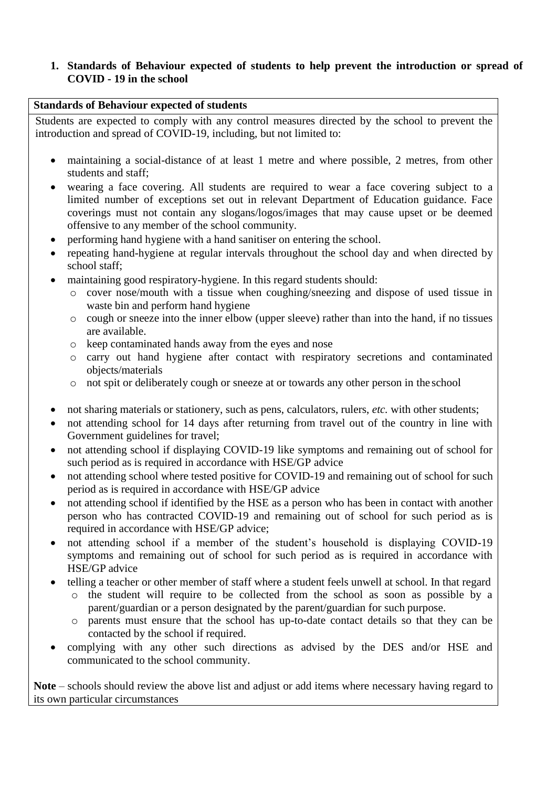# **1. Standards of Behaviour expected of students to help prevent the introduction or spread of COVID - 19 in the school**

### **Standards of Behaviour expected of students**

Students are expected to comply with any control measures directed by the school to prevent the introduction and spread of COVID-19, including, but not limited to:

- maintaining a social-distance of at least 1 metre and where possible, 2 metres, from other students and staff;
- wearing a face covering. All students are required to wear a face covering subject to a limited number of exceptions set out in relevant Department of Education guidance. Face coverings must not contain any slogans/logos/images that may cause upset or be deemed offensive to any member of the school community.
- performing hand hygiene with a hand sanitiser on entering the school.
- repeating hand-hygiene at regular intervals throughout the school day and when directed by school staff;
- maintaining good respiratory-hygiene. In this regard students should:
	- o cover nose/mouth with a tissue when coughing/sneezing and dispose of used tissue in waste bin and perform hand hygiene
	- o cough or sneeze into the inner elbow (upper sleeve) rather than into the hand, if no tissues are available.
	- o keep contaminated hands away from the eyes and nose
	- o carry out hand hygiene after contact with respiratory secretions and contaminated objects/materials
	- o not spit or deliberately cough or sneeze at or towards any other person in the school
- not sharing materials or stationery, such as pens, calculators, rulers, *etc.* with other students;
- not attending school for 14 days after returning from travel out of the country in line with Government guidelines for travel;
- not attending school if displaying COVID-19 like symptoms and remaining out of school for such period as is required in accordance with HSE/GP advice
- not attending school where tested positive for COVID-19 and remaining out of school for such period as is required in accordance with HSE/GP advice
- not attending school if identified by the HSE as a person who has been in contact with another person who has contracted COVID-19 and remaining out of school for such period as is required in accordance with HSE/GP advice;
- not attending school if a member of the student's household is displaying COVID-19 symptoms and remaining out of school for such period as is required in accordance with HSE/GP advice
- telling a teacher or other member of staff where a student feels unwell at school. In that regard
	- o the student will require to be collected from the school as soon as possible by a parent/guardian or a person designated by the parent/guardian for such purpose.
	- o parents must ensure that the school has up-to-date contact details so that they can be contacted by the school if required.
- complying with any other such directions as advised by the DES and/or HSE and communicated to the school community.

**Note** – schools should review the above list and adjust or add items where necessary having regard to its own particular circumstances